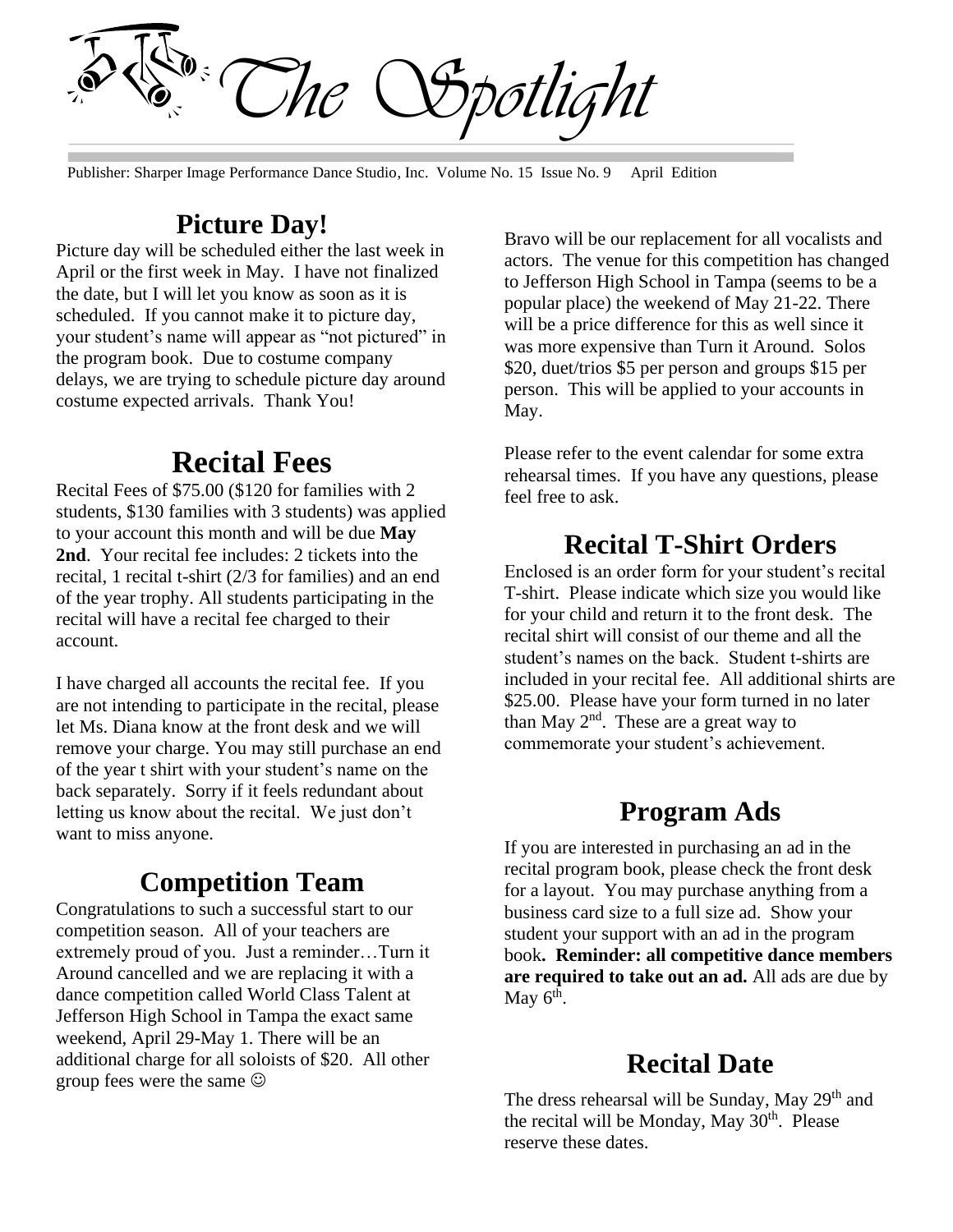*The Spotlight*

Publisher: Sharper Image Performance Dance Studio, Inc. Volume No. 15 Issue No. 9 April Edition

### **Picture Day!**

Picture day will be scheduled either the last week in April or the first week in May. I have not finalized the date, but I will let you know as soon as it is scheduled. If you cannot make it to picture day, your student's name will appear as "not pictured" in the program book. Due to costume company delays, we are trying to schedule picture day around costume expected arrivals. Thank You!

## **Recital Fees**

Recital Fees of \$75.00 (\$120 for families with 2 students, \$130 families with 3 students) was applied to your account this month and will be due **May 2nd**. Your recital fee includes: 2 tickets into the recital, 1 recital t-shirt (2/3 for families) and an end of the year trophy. All students participating in the recital will have a recital fee charged to their account.

I have charged all accounts the recital fee. If you are not intending to participate in the recital, please let Ms. Diana know at the front desk and we will remove your charge. You may still purchase an end of the year t shirt with your student's name on the back separately. Sorry if it feels redundant about letting us know about the recital. We just don't want to miss anyone.

#### **Competition Team**

Congratulations to such a successful start to our competition season. All of your teachers are extremely proud of you. Just a reminder…Turn it Around cancelled and we are replacing it with a dance competition called World Class Talent at Jefferson High School in Tampa the exact same weekend, April 29-May 1. There will be an additional charge for all soloists of \$20. All other group fees were the same ☺

Bravo will be our replacement for all vocalists and actors. The venue for this competition has changed to Jefferson High School in Tampa (seems to be a popular place) the weekend of May 21-22. There will be a price difference for this as well since it was more expensive than Turn it Around. Solos \$20, duet/trios \$5 per person and groups \$15 per person. This will be applied to your accounts in May.

Please refer to the event calendar for some extra rehearsal times. If you have any questions, please feel free to ask.

#### **Recital T-Shirt Orders**

Enclosed is an order form for your student's recital T-shirt. Please indicate which size you would like for your child and return it to the front desk. The recital shirt will consist of our theme and all the student's names on the back. Student t-shirts are included in your recital fee. All additional shirts are \$25.00. Please have your form turned in no later than May 2<sup>nd</sup>. These are a great way to commemorate your student's achievement.

#### **Program Ads**

If you are interested in purchasing an ad in the recital program book, please check the front desk for a layout. You may purchase anything from a business card size to a full size ad. Show your student your support with an ad in the program book**. Reminder: all competitive dance members are required to take out an ad.** All ads are due by May  $6^{\text{th}}$ .

#### **Recital Date**

The dress rehearsal will be Sunday, May 29<sup>th</sup> and the recital will be Monday, May  $30<sup>th</sup>$ . Please reserve these dates.